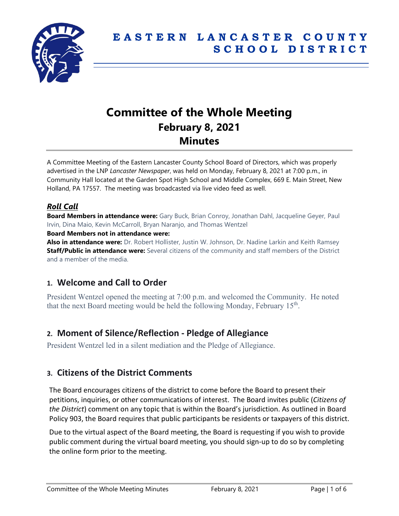

# **Committee of the Whole Meeting February 8, 2021 Minutes**

A Committee Meeting of the Eastern Lancaster County School Board of Directors, which was properly advertised in the LNP *Lancaster Newspaper*, was held on Monday, February 8, 2021 at 7:00 p.m., in Community Hall located at the Garden Spot High School and Middle Complex, 669 E. Main Street, New Holland, PA 17557. The meeting was broadcasted via live video feed as well.

# *Roll Call*

**Board Members in attendance were:** Gary Buck, Brian Conroy, Jonathan Dahl, Jacqueline Geyer, Paul Irvin, Dina Maio, Kevin McCarroll, Bryan Naranjo, and Thomas Wentzel

#### **Board Members not in attendance were:**

**Also in attendance were:** Dr. Robert Hollister, Justin W. Johnson, Dr. Nadine Larkin and Keith Ramsey **Staff/Public in attendance were:** Several citizens of the community and staff members of the District and a member of the media.

# **1. Welcome and Call to Order**

President Wentzel opened the meeting at 7:00 p.m. and welcomed the Community. He noted that the next Board meeting would be held the following Monday, February  $15<sup>th</sup>$ .

# **2. Moment of Silence/Reflection - Pledge of Allegiance**

President Wentzel led in a silent mediation and the Pledge of Allegiance.

# **3. Citizens of the District Comments**

The Board encourages citizens of the district to come before the Board to present their petitions, inquiries, or other communications of interest. The Board invites public (*Citizens of the District*) comment on any topic that is within the Board's jurisdiction. As outlined in Board Policy 903, the Board requires that public participants be residents or taxpayers of this district.

Due to the virtual aspect of the Board meeting, the Board is requesting if you wish to provide public comment during the virtual board meeting, you should sign-up to do so by completing the online form prior to the meeting.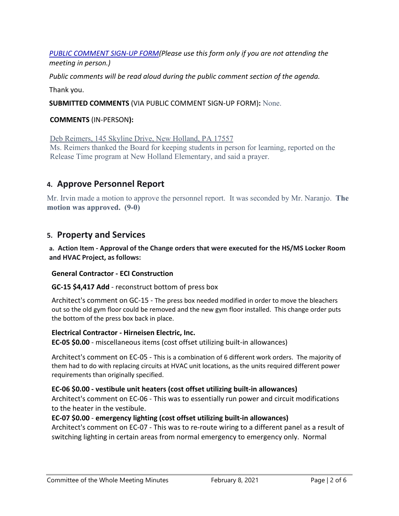*[PUBLIC COMMENT SIGN-UP FORM\(](https://forms.gle/zDXXoX8rZQUxt1Ap6)Please use this form only if you are not attending the meeting in person.)*

*Public comments will be read aloud during the public comment section of the agenda.*

Thank you.

**SUBMITTED COMMENTS** (VIA PUBLIC COMMENT SIGN-UP FORM)**:** None.

## **COMMENTS** (IN-PERSON**):**

Deb Reimers, 145 Skyline Drive, New Holland, PA 17557 Ms. Reimers thanked the Board for keeping students in person for learning, reported on the Release Time program at New Holland Elementary, and said a prayer.

# **4. Approve Personnel Report**

Mr. Irvin made a motion to approve the personnel report. It was seconded by Mr. Naranjo. **The motion was approved. (9-0)**

# **5. Property and Services**

**a. Action Item - Approval of the Change orders that were executed for the HS/MS Locker Room and HVAC Project, as follows:**

## **General Contractor - ECI Construction**

#### **GC-15 \$4,417 Add** - reconstruct bottom of press box

Architect's comment on GC-15 - The press box needed modified in order to move the bleachers out so the old gym floor could be removed and the new gym floor installed. This change order puts the bottom of the press box back in place.

#### **Electrical Contractor - Hirneisen Electric, Inc.**

**EC-05 \$0.00** - miscellaneous items (cost offset utilizing built-in allowances)

Architect's comment on EC-05 - This is a combination of 6 different work orders. The majority of them had to do with replacing circuits at HVAC unit locations, as the units required different power requirements than originally specified.

## **EC-06 \$0.00 - vestibule unit heaters (cost offset utilizing built-in allowances)**

Architect's comment on EC-06 - This was to essentially run power and circuit modifications to the heater in the vestibule.

## **EC-07 \$0.00** - **emergency lighting (cost offset utilizing built-in allowances)**

Architect's comment on EC-07 - This was to re-route wiring to a different panel as a result of switching lighting in certain areas from normal emergency to emergency only. Normal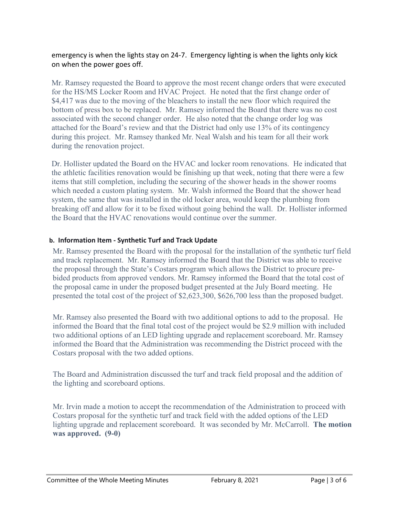emergency is when the lights stay on 24-7. Emergency lighting is when the lights only kick on when the power goes off.

Mr. Ramsey requested the Board to approve the most recent change orders that were executed for the HS/MS Locker Room and HVAC Project. He noted that the first change order of \$4,417 was due to the moving of the bleachers to install the new floor which required the bottom of press box to be replaced. Mr. Ramsey informed the Board that there was no cost associated with the second changer order. He also noted that the change order log was attached for the Board's review and that the District had only use 13% of its contingency during this project. Mr. Ramsey thanked Mr. Neal Walsh and his team for all their work during the renovation project.

Dr. Hollister updated the Board on the HVAC and locker room renovations. He indicated that the athletic facilities renovation would be finishing up that week, noting that there were a few items that still completion, including the securing of the shower heads in the shower rooms which needed a custom plating system. Mr. Walsh informed the Board that the shower head system, the same that was installed in the old locker area, would keep the plumbing from breaking off and allow for it to be fixed without going behind the wall. Dr. Hollister informed the Board that the HVAC renovations would continue over the summer.

## **b. Information Item - Synthetic Turf and Track Update**

Mr. Ramsey presented the Board with the proposal for the installation of the synthetic turf field and track replacement. Mr. Ramsey informed the Board that the District was able to receive the proposal through the State's Costars program which allows the District to procure prebided products from approved vendors. Mr. Ramsey informed the Board that the total cost of the proposal came in under the proposed budget presented at the July Board meeting. He presented the total cost of the project of \$2,623,300, \$626,700 less than the proposed budget.

Mr. Ramsey also presented the Board with two additional options to add to the proposal. He informed the Board that the final total cost of the project would be \$2.9 million with included two additional options of an LED lighting upgrade and replacement scoreboard. Mr. Ramsey informed the Board that the Administration was recommending the District proceed with the Costars proposal with the two added options.

The Board and Administration discussed the turf and track field proposal and the addition of the lighting and scoreboard options.

Mr. Irvin made a motion to accept the recommendation of the Administration to proceed with Costars proposal for the synthetic turf and track field with the added options of the LED lighting upgrade and replacement scoreboard. It was seconded by Mr. McCarroll. **The motion was approved. (9-0)**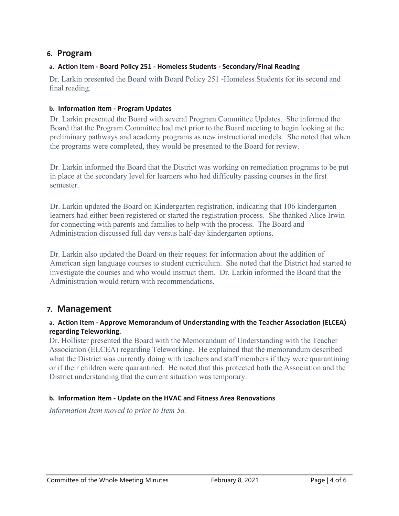# **6. Program**

### **a. Action Item - Board Policy 251 - Homeless Students - Secondary/Final Reading**

Dr. Larkin presented the Board with Board Policy 251 -Homeless Students for its second and final reading.

#### **b. Information Item - Program Updates**

Dr. Larkin presented the Board with several Program Committee Updates. She informed the Board that the Program Committee had met prior to the Board meeting to begin looking at the preliminary pathways and academy programs as new instructional models. She noted that when the programs were completed, they would be presented to the Board for review.

Dr. Larkin informed the Board that the District was working on remediation programs to be put in place at the secondary level for learners who had difficulty passing courses in the first semester.

Dr. Larkin updated the Board on Kindergarten registration, indicating that 106 kindergarten learners had either been registered or started the registration process. She thanked Alice Irwin for connecting with parents and families to help with the process. The Board and Administration discussed full day versus half-day kindergarten options.

Dr. Larkin also updated the Board on their request for information about the addition of American sign language courses to student curriculum. She noted that the District had started to investigate the courses and who would instruct them. Dr. Larkin informed the Board that the Administration would return with recommendations.

# **7. Management**

#### **a. Action Item - Approve Memorandum of Understanding with the Teacher Association (ELCEA) regarding Teleworking.**

Dr. Hollister presented the Board with the Memorandum of Understanding with the Teacher Association (ELCEA) regarding Teleworking. He explained that the memorandum described what the District was currently doing with teachers and staff members if they were quarantining or if their children were quarantined. He noted that this protected both the Association and the District understanding that the current situation was temporary.

#### **b. Information Item - Update on the HVAC and Fitness Area Renovations**

*Information Item moved to prior to Item 5a.*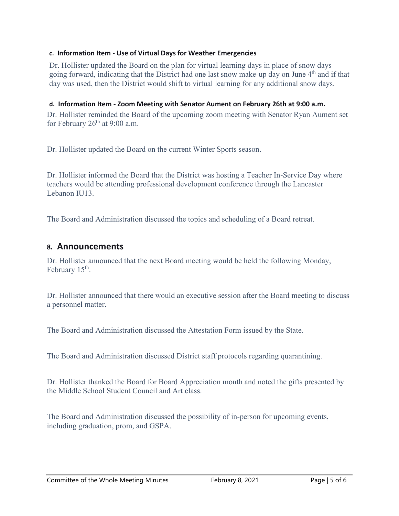#### **c. Information Item - Use of Virtual Days for Weather Emergencies**

Dr. Hollister updated the Board on the plan for virtual learning days in place of snow days going forward, indicating that the District had one last snow make-up day on June 4<sup>th</sup> and if that day was used, then the District would shift to virtual learning for any additional snow days.

#### **d. Information Item - Zoom Meeting with Senator Aument on February 26th at 9:00 a.m.**

Dr. Hollister reminded the Board of the upcoming zoom meeting with Senator Ryan Aument set for February  $26<sup>th</sup>$  at 9:00 a.m.

Dr. Hollister updated the Board on the current Winter Sports season.

Dr. Hollister informed the Board that the District was hosting a Teacher In-Service Day where teachers would be attending professional development conference through the Lancaster Lebanon IU13.

The Board and Administration discussed the topics and scheduling of a Board retreat.

## **8. Announcements**

Dr. Hollister announced that the next Board meeting would be held the following Monday, February  $15<sup>th</sup>$ .

Dr. Hollister announced that there would an executive session after the Board meeting to discuss a personnel matter.

The Board and Administration discussed the Attestation Form issued by the State.

The Board and Administration discussed District staff protocols regarding quarantining.

Dr. Hollister thanked the Board for Board Appreciation month and noted the gifts presented by the Middle School Student Council and Art class.

The Board and Administration discussed the possibility of in-person for upcoming events, including graduation, prom, and GSPA.